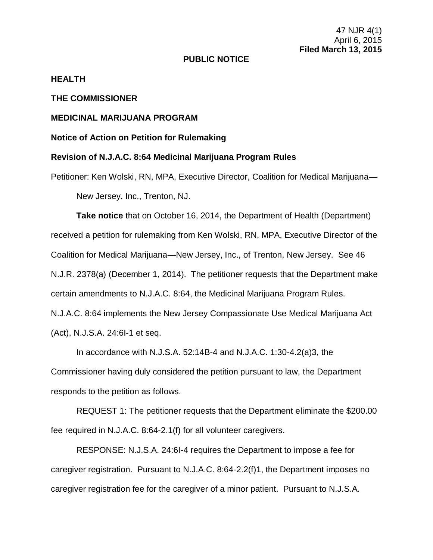47 NJR 4(1) April 6, 2015 **Filed March 13, 2015**

### **PUBLIC NOTICE**

### **HEALTH**

## **THE COMMISSIONER**

# **MEDICINAL MARIJUANA PROGRAM**

## **Notice of Action on Petition for Rulemaking**

## **Revision of N.J.A.C. 8:64 Medicinal Marijuana Program Rules**

Petitioner: Ken Wolski, RN, MPA, Executive Director, Coalition for Medical Marijuana— New Jersey, Inc., Trenton, NJ.

**Take notice** that on October 16, 2014, the Department of Health (Department) received a petition for rulemaking from Ken Wolski, RN, MPA, Executive Director of the Coalition for Medical Marijuana—New Jersey, Inc., of Trenton, New Jersey. See 46 N.J.R. 2378(a) (December 1, 2014). The petitioner requests that the Department make certain amendments to N.J.A.C. 8:64, the Medicinal Marijuana Program Rules. N.J.A.C. 8:64 implements the New Jersey Compassionate Use Medical Marijuana Act (Act), N.J.S.A. 24:6I-1 et seq.

In accordance with N.J.S.A. 52:14B-4 and N.J.A.C. 1:30-4.2(a)3, the Commissioner having duly considered the petition pursuant to law, the Department responds to the petition as follows.

REQUEST 1: The petitioner requests that the Department eliminate the \$200.00 fee required in N.J.A.C. 8:64-2.1(f) for all volunteer caregivers.

RESPONSE: N.J.S.A. 24:6I-4 requires the Department to impose a fee for caregiver registration. Pursuant to N.J.A.C. 8:64-2.2(f)1, the Department imposes no caregiver registration fee for the caregiver of a minor patient. Pursuant to N.J.S.A.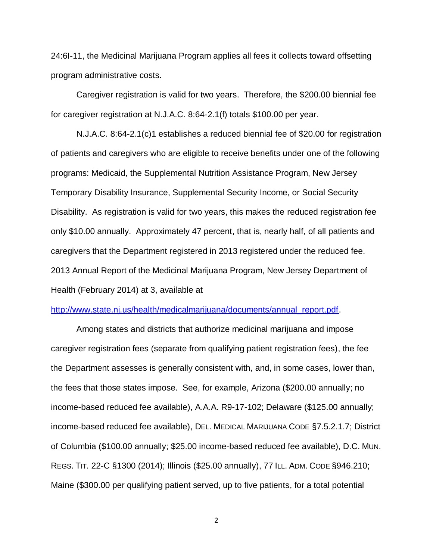24:6I-11, the Medicinal Marijuana Program applies all fees it collects toward offsetting program administrative costs.

Caregiver registration is valid for two years. Therefore, the \$200.00 biennial fee for caregiver registration at N.J.A.C. 8:64-2.1(f) totals \$100.00 per year.

N.J.A.C. 8:64-2.1(c)1 establishes a reduced biennial fee of \$20.00 for registration of patients and caregivers who are eligible to receive benefits under one of the following programs: Medicaid, the Supplemental Nutrition Assistance Program, New Jersey Temporary Disability Insurance, Supplemental Security Income, or Social Security Disability. As registration is valid for two years, this makes the reduced registration fee only \$10.00 annually. Approximately 47 percent, that is, nearly half, of all patients and caregivers that the Department registered in 2013 registered under the reduced fee. 2013 Annual Report of the Medicinal Marijuana Program, New Jersey Department of Health (February 2014) at 3, available at

#### [http://www.state.nj.us/health/medicalmarijuana/documents/annual\\_report.pdf.](http://www.state.nj.us/health/medicalmarijuana/documents/annual_report.pdf)

Among states and districts that authorize medicinal marijuana and impose caregiver registration fees (separate from qualifying patient registration fees), the fee the Department assesses is generally consistent with, and, in some cases, lower than, the fees that those states impose. See, for example, Arizona (\$200.00 annually; no income-based reduced fee available), A.A.A. R9-17-102; Delaware (\$125.00 annually; income-based reduced fee available), DEL. MEDICAL MARIJUANA CODE §7.5.2.1.7; District of Columbia (\$100.00 annually; \$25.00 income-based reduced fee available), D.C. MUN. REGS. TIT. 22-C §1300 (2014); Illinois (\$25.00 annually), 77 ILL. ADM. CODE §946.210; Maine (\$300.00 per qualifying patient served, up to five patients, for a total potential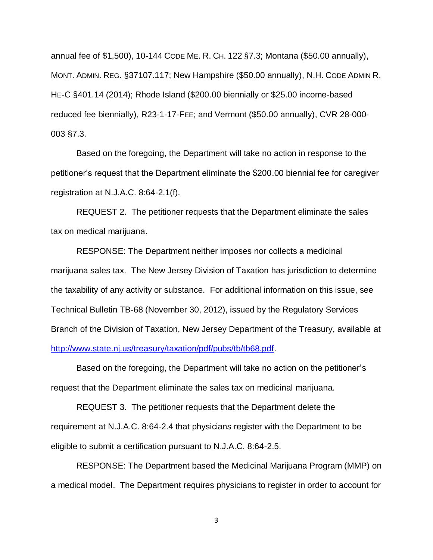annual fee of \$1,500), 10-144 CODE ME. R. CH. 122 §7.3; Montana (\$50.00 annually), MONT. ADMIN. REG. §37107.117; New Hampshire (\$50.00 annually), N.H. CODE ADMIN R. HE-C §401.14 (2014); Rhode Island (\$200.00 biennially or \$25.00 income-based reduced fee biennially), R23-1-17-FEE; and Vermont (\$50.00 annually), CVR 28-000- 003 §7.3.

Based on the foregoing, the Department will take no action in response to the petitioner's request that the Department eliminate the \$200.00 biennial fee for caregiver registration at N.J.A.C. 8:64-2.1(f).

REQUEST 2. The petitioner requests that the Department eliminate the sales tax on medical marijuana.

RESPONSE: The Department neither imposes nor collects a medicinal marijuana sales tax. The New Jersey Division of Taxation has jurisdiction to determine the taxability of any activity or substance. For additional information on this issue, see Technical Bulletin TB-68 (November 30, 2012), issued by the Regulatory Services Branch of the Division of Taxation, New Jersey Department of the Treasury, available at [http://www.state.nj.us/treasury/taxation/pdf/pubs/tb/tb68.pdf.](http://www.state.nj.us/treasury/taxation/pdf/pubs/tb/tb68.pdf)

Based on the foregoing, the Department will take no action on the petitioner's request that the Department eliminate the sales tax on medicinal marijuana.

REQUEST 3. The petitioner requests that the Department delete the requirement at N.J.A.C. 8:64-2.4 that physicians register with the Department to be eligible to submit a certification pursuant to N.J.A.C. 8:64-2.5.

RESPONSE: The Department based the Medicinal Marijuana Program (MMP) on a medical model. The Department requires physicians to register in order to account for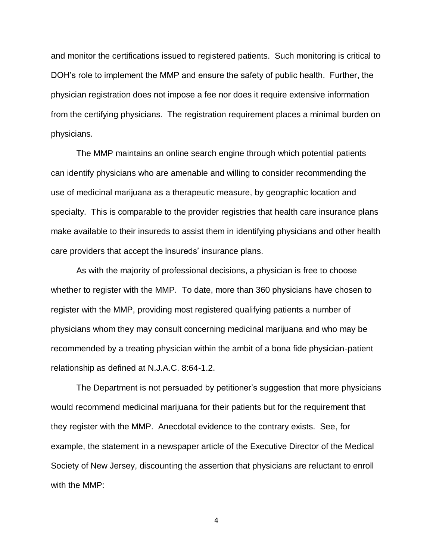and monitor the certifications issued to registered patients. Such monitoring is critical to DOH's role to implement the MMP and ensure the safety of public health. Further, the physician registration does not impose a fee nor does it require extensive information from the certifying physicians. The registration requirement places a minimal burden on physicians.

The MMP maintains an online search engine through which potential patients can identify physicians who are amenable and willing to consider recommending the use of medicinal marijuana as a therapeutic measure, by geographic location and specialty. This is comparable to the provider registries that health care insurance plans make available to their insureds to assist them in identifying physicians and other health care providers that accept the insureds' insurance plans.

As with the majority of professional decisions, a physician is free to choose whether to register with the MMP. To date, more than 360 physicians have chosen to register with the MMP, providing most registered qualifying patients a number of physicians whom they may consult concerning medicinal marijuana and who may be recommended by a treating physician within the ambit of a bona fide physician-patient relationship as defined at N.J.A.C. 8:64-1.2.

The Department is not persuaded by petitioner's suggestion that more physicians would recommend medicinal marijuana for their patients but for the requirement that they register with the MMP. Anecdotal evidence to the contrary exists. See, for example, the statement in a newspaper article of the Executive Director of the Medical Society of New Jersey, discounting the assertion that physicians are reluctant to enroll with the MMP: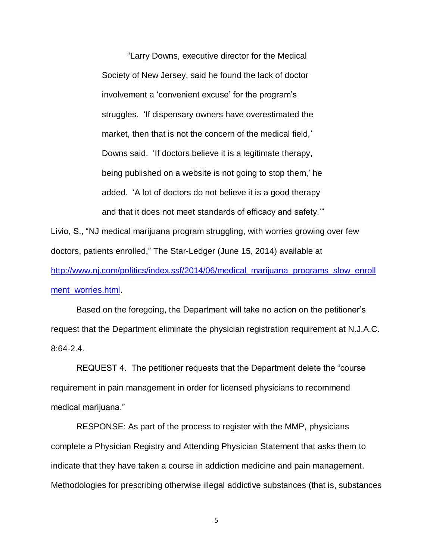"Larry Downs, executive director for the Medical Society of New Jersey, said he found the lack of doctor involvement a 'convenient excuse' for the program's struggles. 'If dispensary owners have overestimated the market, then that is not the concern of the medical field,' Downs said. 'If doctors believe it is a legitimate therapy, being published on a website is not going to stop them,' he added. 'A lot of doctors do not believe it is a good therapy and that it does not meet standards of efficacy and safety.'"

Livio, S., "NJ medical marijuana program struggling, with worries growing over few doctors, patients enrolled," The Star-Ledger (June 15, 2014) available at [http://www.nj.com/politics/index.ssf/2014/06/medical\\_marijuana\\_programs\\_slow\\_enroll](http://www.nj.com/politics/index.ssf/2014/06/medical_marijuana_programs_slow_enrollment_worries.html) [ment\\_worries.html.](http://www.nj.com/politics/index.ssf/2014/06/medical_marijuana_programs_slow_enrollment_worries.html)

Based on the foregoing, the Department will take no action on the petitioner's request that the Department eliminate the physician registration requirement at N.J.A.C. 8:64-2.4.

REQUEST 4. The petitioner requests that the Department delete the "course requirement in pain management in order for licensed physicians to recommend medical marijuana."

RESPONSE: As part of the process to register with the MMP, physicians complete a Physician Registry and Attending Physician Statement that asks them to indicate that they have taken a course in addiction medicine and pain management. Methodologies for prescribing otherwise illegal addictive substances (that is, substances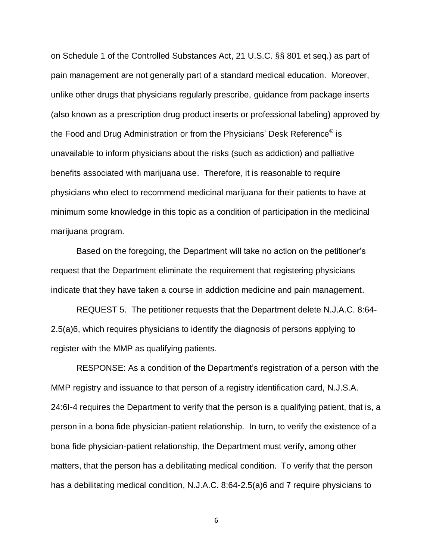on Schedule 1 of the Controlled Substances Act, 21 U.S.C. §§ 801 et seq.) as part of pain management are not generally part of a standard medical education. Moreover, unlike other drugs that physicians regularly prescribe, guidance from package inserts (also known as a prescription drug product inserts or professional labeling) approved by the Food and Drug Administration or from the Physicians' Desk Reference® is unavailable to inform physicians about the risks (such as addiction) and palliative benefits associated with marijuana use. Therefore, it is reasonable to require physicians who elect to recommend medicinal marijuana for their patients to have at minimum some knowledge in this topic as a condition of participation in the medicinal marijuana program.

Based on the foregoing, the Department will take no action on the petitioner's request that the Department eliminate the requirement that registering physicians indicate that they have taken a course in addiction medicine and pain management.

REQUEST 5. The petitioner requests that the Department delete N.J.A.C. 8:64- 2.5(a)6, which requires physicians to identify the diagnosis of persons applying to register with the MMP as qualifying patients.

RESPONSE: As a condition of the Department's registration of a person with the MMP registry and issuance to that person of a registry identification card, N.J.S.A. 24:6I-4 requires the Department to verify that the person is a qualifying patient, that is, a person in a bona fide physician-patient relationship. In turn, to verify the existence of a bona fide physician-patient relationship, the Department must verify, among other matters, that the person has a debilitating medical condition. To verify that the person has a debilitating medical condition, N.J.A.C. 8:64-2.5(a)6 and 7 require physicians to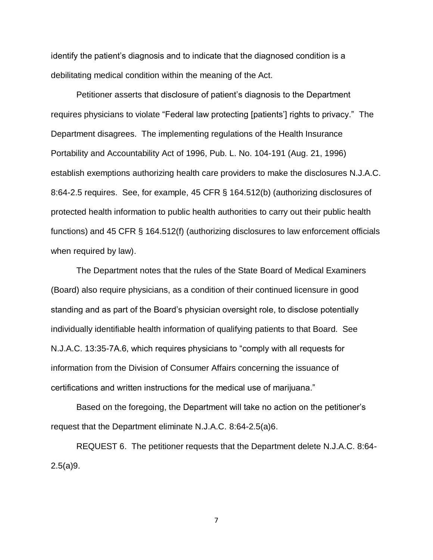identify the patient's diagnosis and to indicate that the diagnosed condition is a debilitating medical condition within the meaning of the Act.

Petitioner asserts that disclosure of patient's diagnosis to the Department requires physicians to violate "Federal law protecting [patients'] rights to privacy." The Department disagrees. The implementing regulations of the Health Insurance Portability and Accountability Act of 1996, Pub. L. No. 104-191 (Aug. 21, 1996) establish exemptions authorizing health care providers to make the disclosures N.J.A.C. 8:64-2.5 requires. See, for example, 45 CFR § 164.512(b) (authorizing disclosures of protected health information to public health authorities to carry out their public health functions) and 45 CFR § 164.512(f) (authorizing disclosures to law enforcement officials when required by law).

The Department notes that the rules of the State Board of Medical Examiners (Board) also require physicians, as a condition of their continued licensure in good standing and as part of the Board's physician oversight role, to disclose potentially individually identifiable health information of qualifying patients to that Board. See N.J.A.C. 13:35-7A.6, which requires physicians to "comply with all requests for information from the Division of Consumer Affairs concerning the issuance of certifications and written instructions for the medical use of marijuana."

Based on the foregoing, the Department will take no action on the petitioner's request that the Department eliminate N.J.A.C. 8:64-2.5(a)6.

REQUEST 6. The petitioner requests that the Department delete N.J.A.C. 8:64- 2.5(a)9.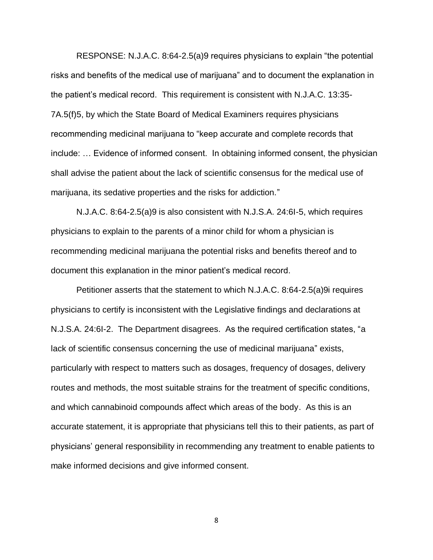RESPONSE: N.J.A.C. 8:64-2.5(a)9 requires physicians to explain "the potential risks and benefits of the medical use of marijuana" and to document the explanation in the patient's medical record. This requirement is consistent with N.J.A.C. 13:35- 7A.5(f)5, by which the State Board of Medical Examiners requires physicians recommending medicinal marijuana to "keep accurate and complete records that include: … Evidence of informed consent. In obtaining informed consent, the physician shall advise the patient about the lack of scientific consensus for the medical use of marijuana, its sedative properties and the risks for addiction."

N.J.A.C. 8:64-2.5(a)9 is also consistent with N.J.S.A. 24:6I-5, which requires physicians to explain to the parents of a minor child for whom a physician is recommending medicinal marijuana the potential risks and benefits thereof and to document this explanation in the minor patient's medical record.

Petitioner asserts that the statement to which N.J.A.C. 8:64-2.5(a)9i requires physicians to certify is inconsistent with the Legislative findings and declarations at N.J.S.A. 24:6I-2. The Department disagrees. As the required certification states, "a lack of scientific consensus concerning the use of medicinal marijuana" exists, particularly with respect to matters such as dosages, frequency of dosages, delivery routes and methods, the most suitable strains for the treatment of specific conditions, and which cannabinoid compounds affect which areas of the body. As this is an accurate statement, it is appropriate that physicians tell this to their patients, as part of physicians' general responsibility in recommending any treatment to enable patients to make informed decisions and give informed consent.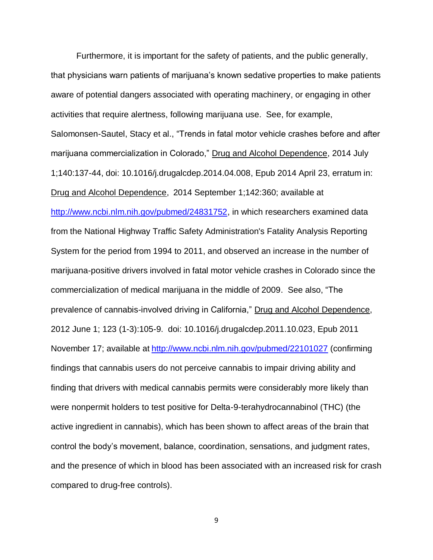Furthermore, it is important for the safety of patients, and the public generally, that physicians warn patients of marijuana's known sedative properties to make patients aware of potential dangers associated with operating machinery, or engaging in other activities that require alertness, following marijuana use. See, for example, Salomonsen-Sautel, Stacy et al., "Trends in fatal motor vehicle crashes before and after marijuana commercialization in Colorado," Drug and Alcohol Dependence, 2014 July 1;140:137-44, doi: 10.1016/j.drugalcdep.2014.04.008, Epub 2014 April 23, erratum in: Drug and Alcohol Dependence, 2014 September 1;142:360; available at [http://www.ncbi.nlm.nih.gov/pubmed/24831752,](http://www.ncbi.nlm.nih.gov/pubmed/24831752) in which researchers examined data from the National Highway Traffic Safety Administration's Fatality Analysis Reporting System for the period from 1994 to 2011, and observed an increase in the number of marijuana-positive drivers involved in fatal motor vehicle crashes in Colorado since the commercialization of medical marijuana in the middle of 2009. See also, "The prevalence of cannabis-involved driving in California," Drug and Alcohol Dependence, 2012 June 1; 123 (1-3):105-9. doi: 10.1016/j.drugalcdep.2011.10.023, Epub 2011 November 17; available at <http://www.ncbi.nlm.nih.gov/pubmed/22101027> (confirming findings that cannabis users do not perceive cannabis to impair driving ability and finding that drivers with medical cannabis permits were considerably more likely than were nonpermit holders to test positive for Delta-9-terahydrocannabinol (THC) (the active ingredient in cannabis), which has been shown to affect areas of the brain that control the body's movement, balance, coordination, sensations, and judgment rates, and the presence of which in blood has been associated with an increased risk for crash compared to drug-free controls).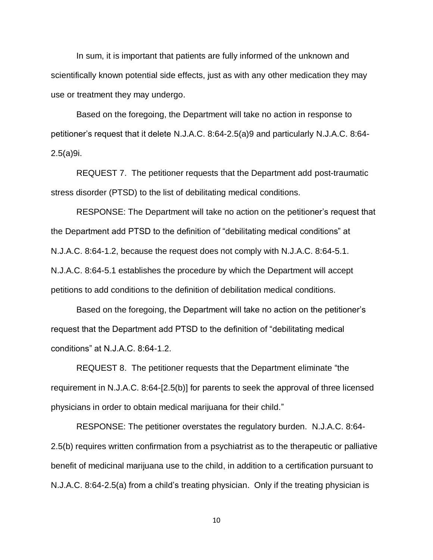In sum, it is important that patients are fully informed of the unknown and scientifically known potential side effects, just as with any other medication they may use or treatment they may undergo.

Based on the foregoing, the Department will take no action in response to petitioner's request that it delete N.J.A.C. 8:64-2.5(a)9 and particularly N.J.A.C. 8:64- 2.5(a)9i.

REQUEST 7. The petitioner requests that the Department add post-traumatic stress disorder (PTSD) to the list of debilitating medical conditions.

RESPONSE: The Department will take no action on the petitioner's request that the Department add PTSD to the definition of "debilitating medical conditions" at N.J.A.C. 8:64-1.2, because the request does not comply with N.J.A.C. 8:64-5.1. N.J.A.C. 8:64-5.1 establishes the procedure by which the Department will accept petitions to add conditions to the definition of debilitation medical conditions.

Based on the foregoing, the Department will take no action on the petitioner's request that the Department add PTSD to the definition of "debilitating medical conditions" at N.J.A.C. 8:64-1.2.

REQUEST 8. The petitioner requests that the Department eliminate "the requirement in N.J.A.C. 8:64-[2.5(b)] for parents to seek the approval of three licensed physicians in order to obtain medical marijuana for their child."

RESPONSE: The petitioner overstates the regulatory burden. N.J.A.C. 8:64- 2.5(b) requires written confirmation from a psychiatrist as to the therapeutic or palliative benefit of medicinal marijuana use to the child, in addition to a certification pursuant to N.J.A.C. 8:64-2.5(a) from a child's treating physician. Only if the treating physician is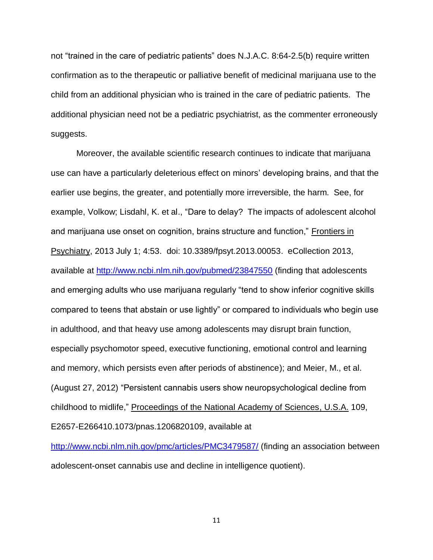not "trained in the care of pediatric patients" does N.J.A.C. 8:64-2.5(b) require written confirmation as to the therapeutic or palliative benefit of medicinal marijuana use to the child from an additional physician who is trained in the care of pediatric patients. The additional physician need not be a pediatric psychiatrist, as the commenter erroneously suggests.

Moreover, the available scientific research continues to indicate that marijuana use can have a particularly deleterious effect on minors' developing brains, and that the earlier use begins, the greater, and potentially more irreversible, the harm. See, for example, Volkow; Lisdahl, K. et al., "Dare to delay? The impacts of adolescent alcohol and marijuana use onset on cognition, brains structure and function," Frontiers in Psychiatry, 2013 July 1; 4:53. doi: 10.3389/fpsyt.2013.00053. eCollection 2013, available at<http://www.ncbi.nlm.nih.gov/pubmed/23847550> (finding that adolescents and emerging adults who use marijuana regularly "tend to show inferior cognitive skills compared to teens that abstain or use lightly" or compared to individuals who begin use in adulthood, and that heavy use among adolescents may disrupt brain function, especially psychomotor speed, executive functioning, emotional control and learning and memory, which persists even after periods of abstinence); and Meier, M., et al. (August 27, 2012) "Persistent cannabis users show neuropsychological decline from childhood to midlife," Proceedings of the National Academy of Sciences, U.S.A. 109, E2657-E266410.1073/pnas.1206820109, available at

<http://www.ncbi.nlm.nih.gov/pmc/articles/PMC3479587/> (finding an association between adolescent-onset cannabis use and decline in intelligence quotient).